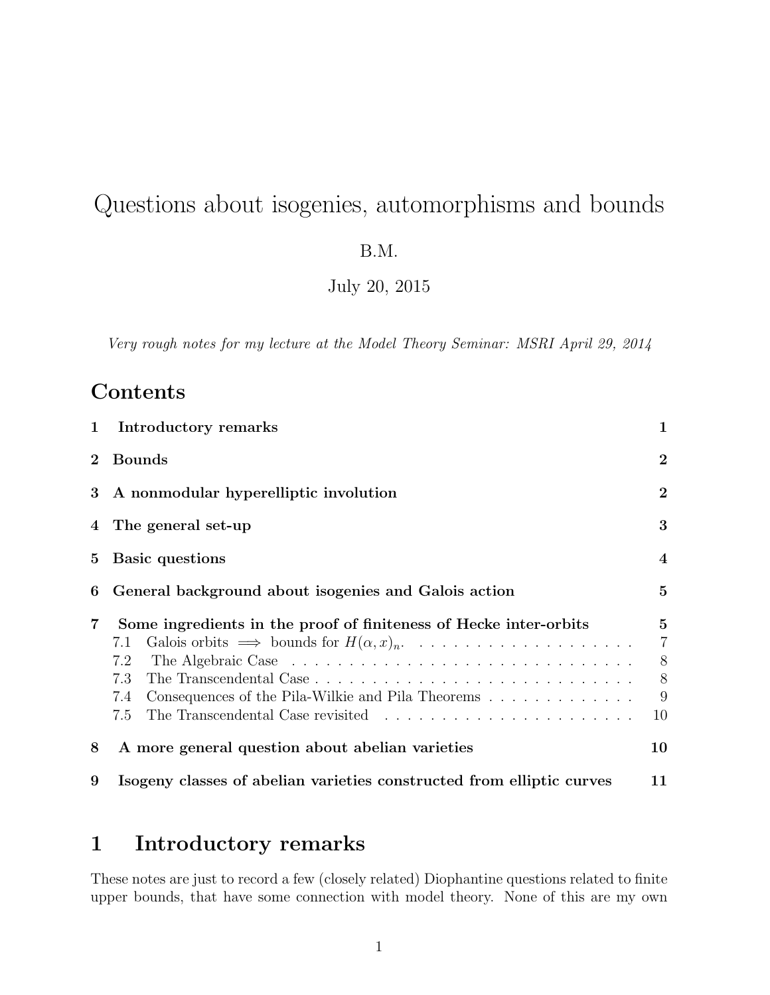# Questions about isogenies, automorphisms and bounds

B.M.

July 20, 2015

Very rough notes for my lecture at the Model Theory Seminar: MSRI April 29, 2014

# **Contents**

| $\mathbf{1}$    | Introductory remarks                                                                                                                                      | 1                                                  |
|-----------------|-----------------------------------------------------------------------------------------------------------------------------------------------------------|----------------------------------------------------|
| $\overline{2}$  | <b>Bounds</b>                                                                                                                                             | $\overline{2}$                                     |
| $\bf{3}$        | A nonmodular hyperelliptic involution                                                                                                                     | $\overline{2}$                                     |
|                 | 4 The general set-up                                                                                                                                      | 3                                                  |
| $5\overline{)}$ | Basic questions                                                                                                                                           | $\overline{4}$                                     |
| 6               | General background about isogenies and Galois action                                                                                                      | $\overline{5}$                                     |
| 7               | Some ingredients in the proof of finiteness of Hecke inter-orbits<br>7.1<br>7.2<br>7.3<br>Consequences of the Pila-Wilkie and Pila Theorems<br>7.4<br>7.5 | $5^{\circ}$<br>$\overline{7}$<br>8<br>8<br>9<br>10 |
| 8               | A more general question about abelian varieties                                                                                                           | 10                                                 |
| 9               | Isogeny classes of abelian varieties constructed from elliptic curves                                                                                     | 11                                                 |

## 1 Introductory remarks

These notes are just to record a few (closely related) Diophantine questions related to finite upper bounds, that have some connection with model theory. None of this are my own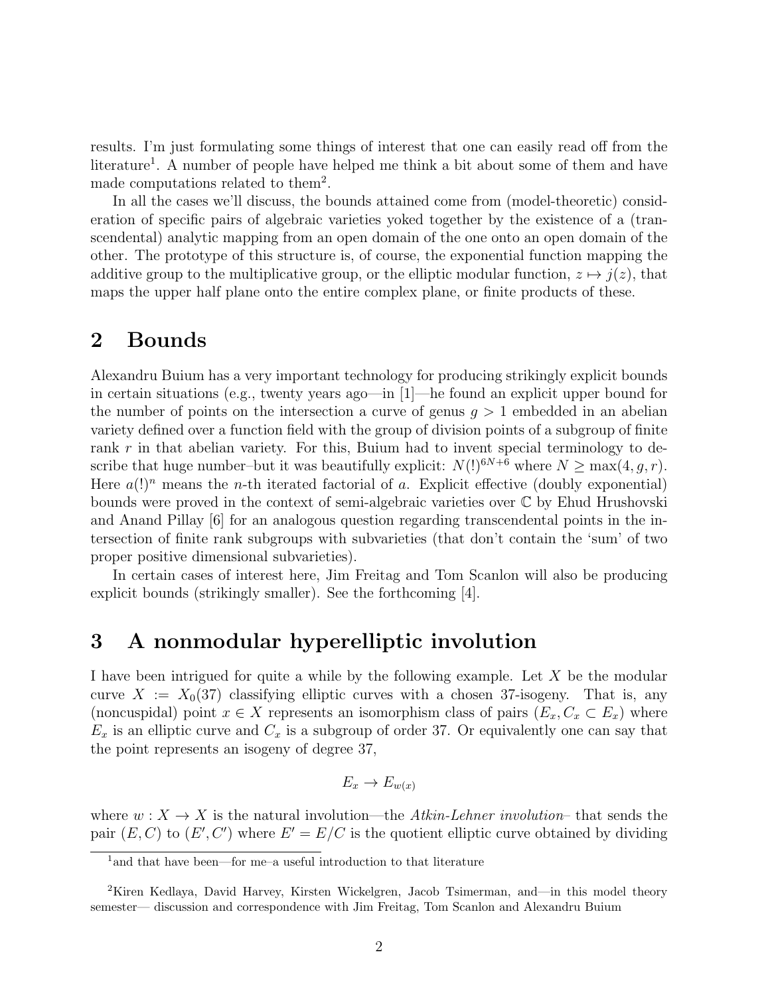results. I'm just formulating some things of interest that one can easily read off from the literature<sup>1</sup>. A number of people have helped me think a bit about some of them and have made computations related to them<sup>2</sup>.

In all the cases we'll discuss, the bounds attained come from (model-theoretic) consideration of specific pairs of algebraic varieties yoked together by the existence of a (transcendental) analytic mapping from an open domain of the one onto an open domain of the other. The prototype of this structure is, of course, the exponential function mapping the additive group to the multiplicative group, or the elliptic modular function,  $z \mapsto j(z)$ , that maps the upper half plane onto the entire complex plane, or finite products of these.

### 2 Bounds

Alexandru Buium has a very important technology for producing strikingly explicit bounds in certain situations (e.g., twenty years ago—in [1]—he found an explicit upper bound for the number of points on the intersection a curve of genus  $g > 1$  embedded in an abelian variety defined over a function field with the group of division points of a subgroup of finite rank  $r$  in that abelian variety. For this, Buium had to invent special terminology to describe that huge number–but it was beautifully explicit:  $N(!)^{6N+6}$  where  $N \ge \max(4, q, r)$ . Here  $a(1)^n$  means the *n*-th iterated factorial of a. Explicit effective (doubly exponential) bounds were proved in the context of semi-algebraic varieties over C by Ehud Hrushovski and Anand Pillay [6] for an analogous question regarding transcendental points in the intersection of finite rank subgroups with subvarieties (that don't contain the 'sum' of two proper positive dimensional subvarieties).

In certain cases of interest here, Jim Freitag and Tom Scanlon will also be producing explicit bounds (strikingly smaller). See the forthcoming [4].

## 3 A nonmodular hyperelliptic involution

I have been intrigued for quite a while by the following example. Let X be the modular curve  $X := X_0(37)$  classifying elliptic curves with a chosen 37-isogeny. That is, any (noncuspidal) point  $x \in X$  represents an isomorphism class of pairs  $(E_x, C_x \subset E_x)$  where  $E_x$  is an elliptic curve and  $C_x$  is a subgroup of order 37. Or equivalently one can say that the point represents an isogeny of degree 37,

$$
E_x \to E_{w(x)}
$$

where  $w: X \to X$  is the natural involution—the Atkin-Lehner involution—that sends the pair  $(E, C)$  to  $(E', C')$  where  $E' = E/C$  is the quotient elliptic curve obtained by dividing

<sup>&</sup>lt;sup>1</sup> and that have been—for me–a useful introduction to that literature

<sup>2</sup>Kiren Kedlaya, David Harvey, Kirsten Wickelgren, Jacob Tsimerman, and—in this model theory semester— discussion and correspondence with Jim Freitag, Tom Scanlon and Alexandru Buium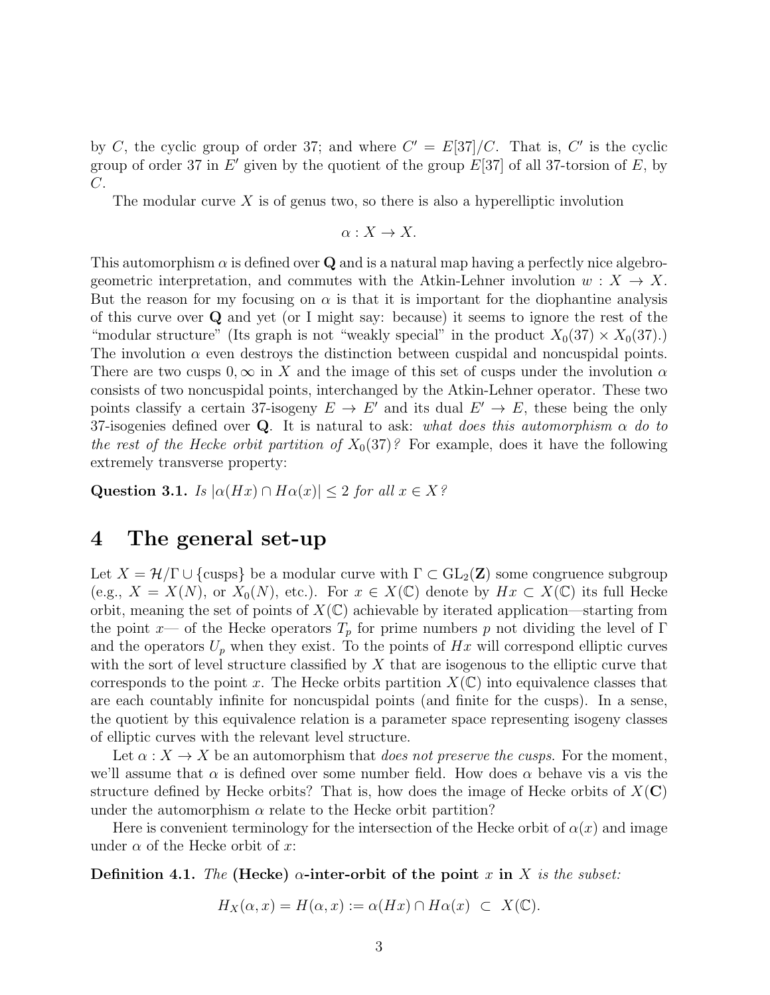by C, the cyclic group of order 37; and where  $C' = E[37]/C$ . That is, C' is the cyclic group of order 37 in  $E'$  given by the quotient of the group  $E[37]$  of all 37-torsion of  $E$ , by C.

The modular curve  $X$  is of genus two, so there is also a hyperelliptic involution

$$
\alpha: X \to X.
$$

This automorphism  $\alpha$  is defined over Q and is a natural map having a perfectly nice algebrogeometric interpretation, and commutes with the Atkin-Lehner involution  $w: X \to X$ . But the reason for my focusing on  $\alpha$  is that it is important for the diophantine analysis of this curve over Q and yet (or I might say: because) it seems to ignore the rest of the "modular structure" (Its graph is not "weakly special" in the product  $X_0(37) \times X_0(37)$ .) The involution  $\alpha$  even destroys the distinction between cuspidal and noncuspidal points. There are two cusps  $0, \infty$  in X and the image of this set of cusps under the involution  $\alpha$ consists of two noncuspidal points, interchanged by the Atkin-Lehner operator. These two points classify a certain 37-isogeny  $E \to E'$  and its dual  $E' \to E$ , these being the only 37-isogenies defined over Q. It is natural to ask: what does this automorphism  $\alpha$  do to the rest of the Hecke orbit partition of  $X_0(37)$ ? For example, does it have the following extremely transverse property:

Question 3.1. Is  $|\alpha(Hx) \cap H\alpha(x)| \leq 2$  for all  $x \in X$ ?

### 4 The general set-up

Let  $X = \mathcal{H}/\Gamma \cup \{\text{cusps}\}\$ be a modular curve with  $\Gamma \subset GL_2(\mathbb{Z})$  some congruence subgroup (e.g.,  $X = X(N)$ , or  $X_0(N)$ , etc.). For  $x \in X(\mathbb{C})$  denote by  $Hx \subset X(\mathbb{C})$  its full Hecke orbit, meaning the set of points of  $X(\mathbb{C})$  achievable by iterated application—starting from the point x— of the Hecke operators  $T_p$  for prime numbers p not dividing the level of Γ and the operators  $U_p$  when they exist. To the points of  $Hx$  will correspond elliptic curves with the sort of level structure classified by  $X$  that are isogenous to the elliptic curve that corresponds to the point x. The Hecke orbits partition  $X(\mathbb{C})$  into equivalence classes that are each countably infinite for noncuspidal points (and finite for the cusps). In a sense, the quotient by this equivalence relation is a parameter space representing isogeny classes of elliptic curves with the relevant level structure.

Let  $\alpha: X \to X$  be an automorphism that *does not preserve the cusps*. For the moment, we'll assume that  $\alpha$  is defined over some number field. How does  $\alpha$  behave vis a vis the structure defined by Hecke orbits? That is, how does the image of Hecke orbits of  $X(\mathbf{C})$ under the automorphism  $\alpha$  relate to the Hecke orbit partition?

Here is convenient terminology for the intersection of the Hecke orbit of  $\alpha(x)$  and image under  $\alpha$  of the Hecke orbit of x:

Definition 4.1. The (Hecke)  $\alpha$ -inter-orbit of the point x in X is the subset:

$$
H_X(\alpha, x) = H(\alpha, x) := \alpha(Hx) \cap H\alpha(x) \subset X(\mathbb{C}).
$$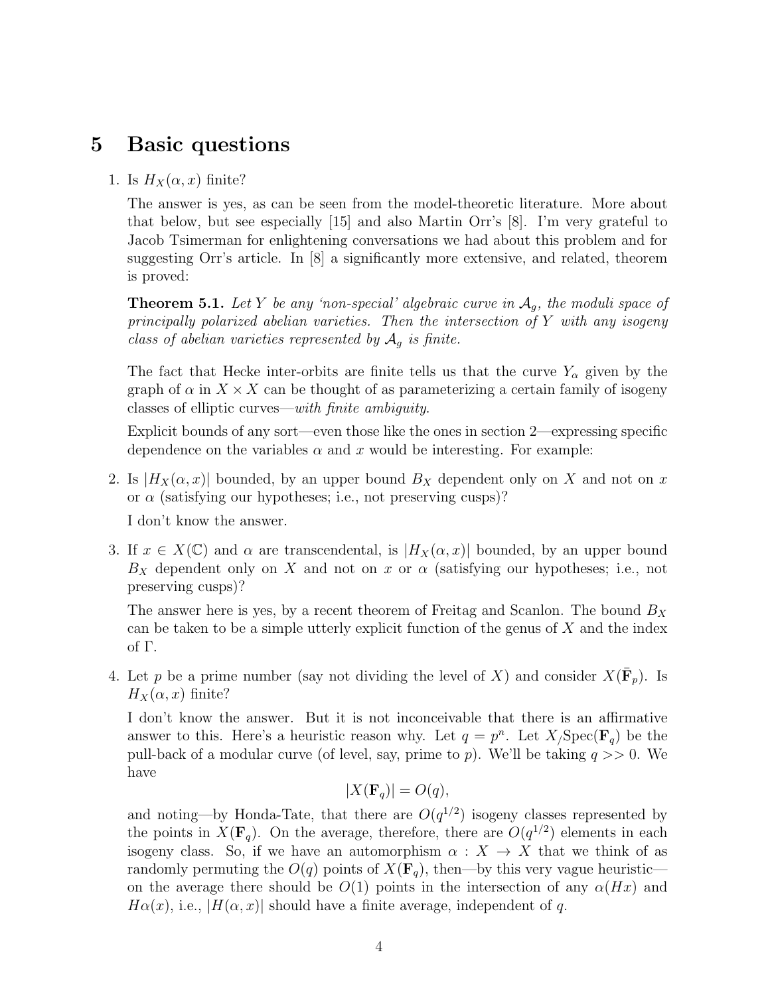## 5 Basic questions

#### 1. Is  $H_X(\alpha, x)$  finite?

The answer is yes, as can be seen from the model-theoretic literature. More about that below, but see especially [15] and also Martin Orr's [8]. I'm very grateful to Jacob Tsimerman for enlightening conversations we had about this problem and for suggesting Orr's article. In [8] a significantly more extensive, and related, theorem is proved:

**Theorem 5.1.** Let Y be any 'non-special' algebraic curve in  $A<sub>g</sub>$ , the moduli space of principally polarized abelian varieties. Then the intersection of Y with any isogeny class of abelian varieties represented by  $A<sub>g</sub>$  is finite.

The fact that Hecke inter-orbits are finite tells us that the curve  $Y_{\alpha}$  given by the graph of  $\alpha$  in  $X \times X$  can be thought of as parameterizing a certain family of isogeny classes of elliptic curves—with finite ambiguity.

Explicit bounds of any sort—even those like the ones in section 2—expressing specific dependence on the variables  $\alpha$  and x would be interesting. For example:

2. Is  $|H_X(\alpha, x)|$  bounded, by an upper bound  $B_X$  dependent only on X and not on x or  $\alpha$  (satisfying our hypotheses; i.e., not preserving cusps)?

I don't know the answer.

3. If  $x \in X(\mathbb{C})$  and  $\alpha$  are transcendental, is  $|H_X(\alpha, x)|$  bounded, by an upper bound  $B_X$  dependent only on X and not on x or  $\alpha$  (satisfying our hypotheses; i.e., not preserving cusps)?

The answer here is yes, by a recent theorem of Freitag and Scanlon. The bound  $B_X$ can be taken to be a simple utterly explicit function of the genus of  $X$  and the index of Γ.

4. Let p be a prime number (say not dividing the level of X) and consider  $X(\bar{\mathbf{F}}_p)$ . Is  $H_X(\alpha, x)$  finite?

I don't know the answer. But it is not inconceivable that there is an affirmative answer to this. Here's a heuristic reason why. Let  $q = p^n$ . Let  $X_j \text{Spec}(\mathbf{F}_q)$  be the pull-back of a modular curve (of level, say, prime to p). We'll be taking  $q \gg 0$ . We have

$$
|X(\mathbf{F}_q)| = O(q),
$$

and noting—by Honda-Tate, that there are  $O(q^{1/2})$  isogeny classes represented by the points in  $X(\mathbf{F}_q)$ . On the average, therefore, there are  $O(q^{1/2})$  elements in each isogeny class. So, if we have an automorphism  $\alpha : X \to X$  that we think of as randomly permuting the  $O(q)$  points of  $X(\mathbf{F}_q)$ , then—by this very vague heuristic on the average there should be  $O(1)$  points in the intersection of any  $\alpha(Hx)$  and  $H\alpha(x)$ , i.e.,  $|H(\alpha, x)|$  should have a finite average, independent of q.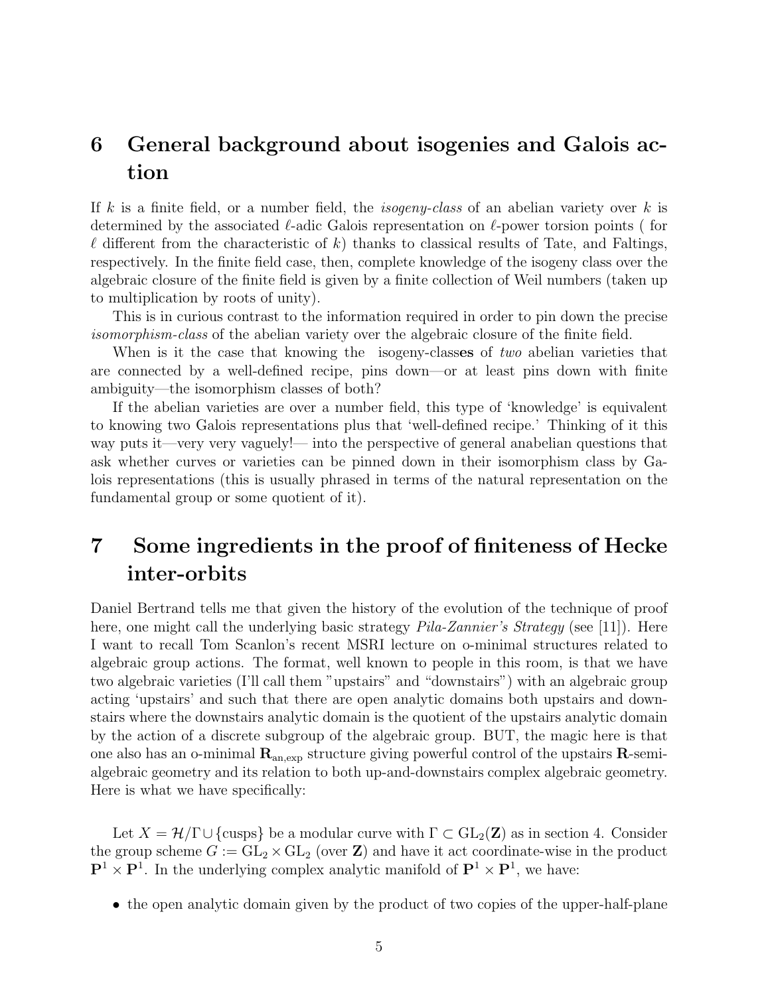# 6 General background about isogenies and Galois action

If k is a finite field, or a number field, the *isogeny-class* of an abelian variety over k is determined by the associated  $\ell$ -adic Galois representation on  $\ell$ -power torsion points ( for  $\ell$  different from the characteristic of k) thanks to classical results of Tate, and Faltings, respectively. In the finite field case, then, complete knowledge of the isogeny class over the algebraic closure of the finite field is given by a finite collection of Weil numbers (taken up to multiplication by roots of unity).

This is in curious contrast to the information required in order to pin down the precise isomorphism-class of the abelian variety over the algebraic closure of the finite field.

When is it the case that knowing the isogeny-classes of two abelian varieties that are connected by a well-defined recipe, pins down—or at least pins down with finite ambiguity—the isomorphism classes of both?

If the abelian varieties are over a number field, this type of 'knowledge' is equivalent to knowing two Galois representations plus that 'well-defined recipe.' Thinking of it this way puts it—very very vaguely!— into the perspective of general anabelian questions that ask whether curves or varieties can be pinned down in their isomorphism class by Galois representations (this is usually phrased in terms of the natural representation on the fundamental group or some quotient of it).

# 7 Some ingredients in the proof of finiteness of Hecke inter-orbits

Daniel Bertrand tells me that given the history of the evolution of the technique of proof here, one might call the underlying basic strategy *Pila-Zannier's Strategy* (see [11]). Here I want to recall Tom Scanlon's recent MSRI lecture on o-minimal structures related to algebraic group actions. The format, well known to people in this room, is that we have two algebraic varieties (I'll call them "upstairs" and "downstairs") with an algebraic group acting 'upstairs' and such that there are open analytic domains both upstairs and downstairs where the downstairs analytic domain is the quotient of the upstairs analytic domain by the action of a discrete subgroup of the algebraic group. BUT, the magic here is that one also has an o-minimal  $\mathbf{R}_{an,exp}$  structure giving powerful control of the upstairs  $\mathbf{R}$ -semialgebraic geometry and its relation to both up-and-downstairs complex algebraic geometry. Here is what we have specifically:

Let  $X = \mathcal{H}/\Gamma \cup \{\text{cusps}\}\$ be a modular curve with  $\Gamma \subset GL_2(\mathbb{Z})$  as in section 4. Consider the group scheme  $G := GL_2 \times GL_2$  (over **Z**) and have it act coordinate-wise in the product  $\mathbf{P}^1 \times \mathbf{P}^1$ . In the underlying complex analytic manifold of  $\mathbf{P}^1 \times \mathbf{P}^1$ , we have:

• the open analytic domain given by the product of two copies of the upper-half-plane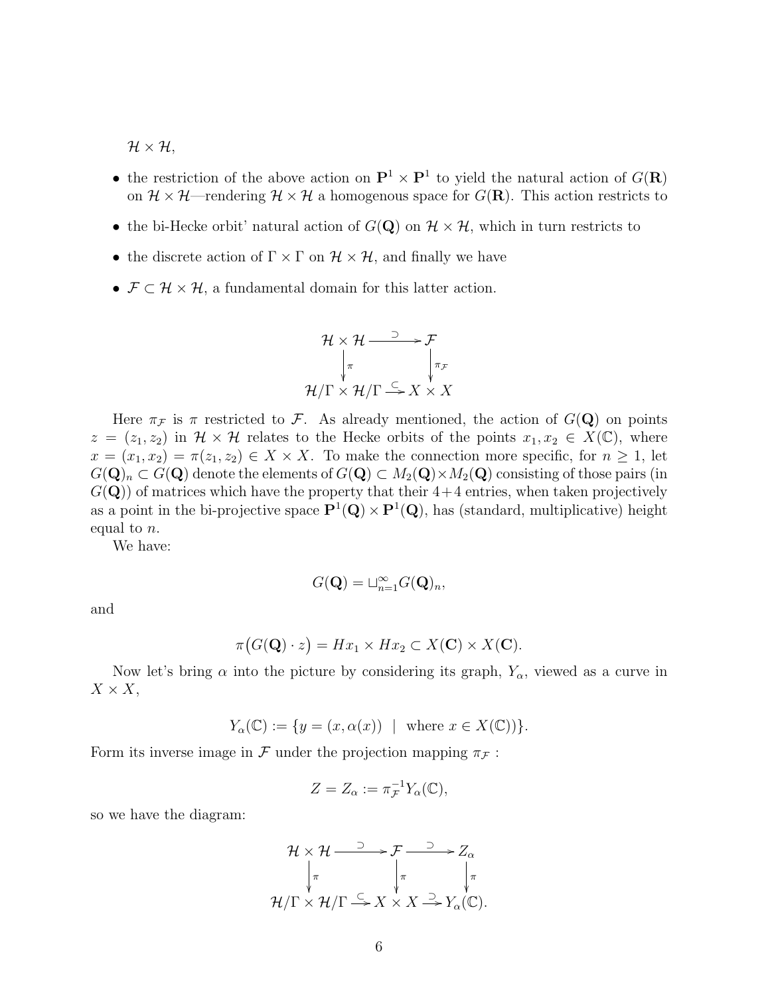$\mathcal{H} \times \mathcal{H},$ 

- the restriction of the above action on  $\mathbf{P}^1 \times \mathbf{P}^1$  to yield the natural action of  $G(\mathbf{R})$ on  $\mathcal{H} \times \mathcal{H}$ —rendering  $\mathcal{H} \times \mathcal{H}$  a homogenous space for  $G(\mathbf{R})$ . This action restricts to
- the bi-Hecke orbit' natural action of  $G(\mathbf{Q})$  on  $\mathcal{H} \times \mathcal{H}$ , which in turn restricts to
- the discrete action of  $\Gamma \times \Gamma$  on  $\mathcal{H} \times \mathcal{H}$ , and finally we have
- $\mathcal{F} \subset \mathcal{H} \times \mathcal{H}$ , a fundamental domain for this latter action.

$$
\mathcal{H} \times \mathcal{H} \xrightarrow{\supset} \mathcal{F}
$$
\n
$$
\downarrow_{\pi} \qquad \qquad \downarrow_{\pi_{\mathcal{F}}}
$$
\n
$$
\mathcal{H}/\Gamma \times \mathcal{H}/\Gamma \xrightarrow{\subseteq} X \times X
$$

Here  $\pi_F$  is  $\pi$  restricted to F. As already mentioned, the action of  $G(\mathbf{Q})$  on points  $z = (z_1, z_2)$  in  $\mathcal{H} \times \mathcal{H}$  relates to the Hecke orbits of the points  $x_1, x_2 \in X(\mathbb{C})$ , where  $x = (x_1, x_2) = \pi(z_1, z_2) \in X \times X$ . To make the connection more specific, for  $n \geq 1$ , let  $G(\mathbf{Q})_n \subset G(\mathbf{Q})$  denote the elements of  $G(\mathbf{Q}) \subset M_2(\mathbf{Q}) \times M_2(\mathbf{Q})$  consisting of those pairs (in  $G(Q)$ ) of matrices which have the property that their  $4+4$  entries, when taken projectively as a point in the bi-projective space  $\mathbf{P}^1(\mathbf{Q}) \times \mathbf{P}^1(\mathbf{Q})$ , has (standard, multiplicative) height equal to n.

We have:

$$
G(\mathbf{Q}) = \sqcup_{n=1}^{\infty} G(\mathbf{Q})_n,
$$

and

$$
\pi(G(\mathbf{Q}) \cdot z) = Hx_1 \times Hx_2 \subset X(\mathbf{C}) \times X(\mathbf{C}).
$$

Now let's bring  $\alpha$  into the picture by considering its graph,  $Y_{\alpha}$ , viewed as a curve in  $X \times X$ ,

$$
Y_{\alpha}(\mathbb{C}) := \{ y = (x, \alpha(x)) \mid \text{ where } x \in X(\mathbb{C}) \}.
$$

Form its inverse image in F under the projection mapping  $\pi_F$ :

$$
Z = Z_{\alpha} := \pi_{\mathcal{F}}^{-1} Y_{\alpha}(\mathbb{C}),
$$

so we have the diagram:

$$
\mathcal{H} \times \mathcal{H} \xrightarrow{\supset} \mathcal{F} \xrightarrow{\supset} Z_{\alpha}
$$
\n
$$
\downarrow_{\pi} \qquad \qquad \downarrow_{\pi} \qquad \qquad \downarrow_{\pi}
$$
\n
$$
\mathcal{H}/\Gamma \times \mathcal{H}/\Gamma \xrightarrow{\subset} X \times X \xrightarrow{\supset} Y_{\alpha}(\mathbb{C}).
$$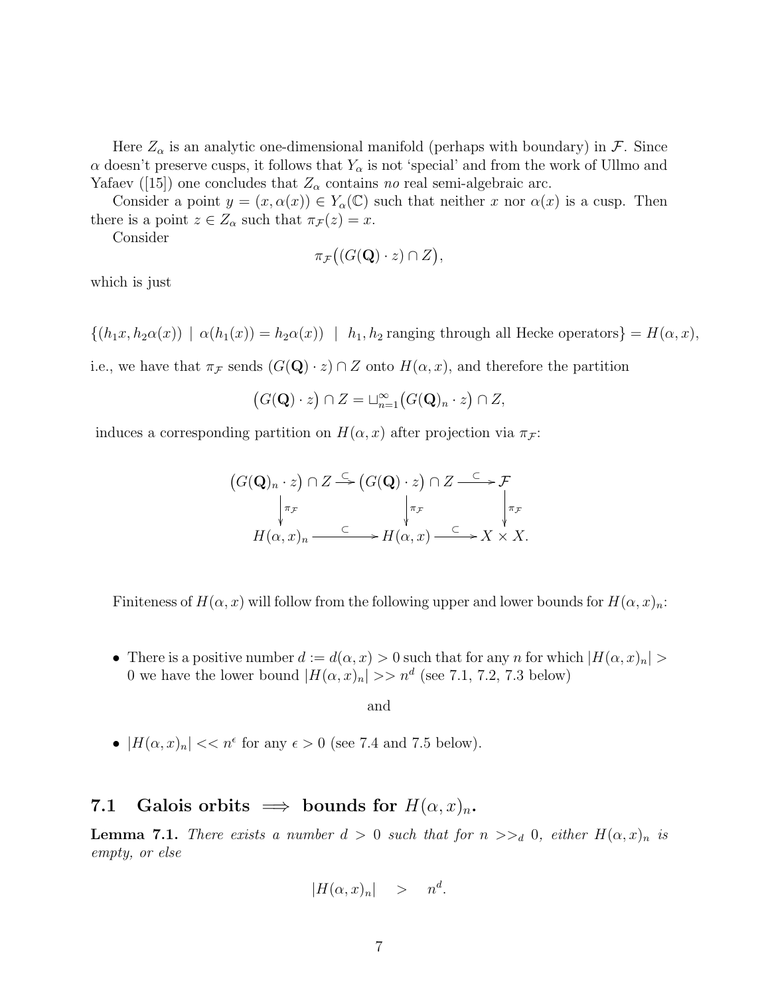Here  $Z_{\alpha}$  is an analytic one-dimensional manifold (perhaps with boundary) in F. Since  $\alpha$  doesn't preserve cusps, it follows that  $Y_{\alpha}$  is not 'special' and from the work of Ullmo and Yafaev ([15]) one concludes that  $Z_{\alpha}$  contains no real semi-algebraic arc.

Consider a point  $y = (x, \alpha(x)) \in Y_\alpha(\mathbb{C})$  such that neither x nor  $\alpha(x)$  is a cusp. Then there is a point  $z \in Z_\alpha$  such that  $\pi_{\mathcal{F}}(z) = x$ .

Consider

$$
\pi_{\mathcal{F}}\big((G(\mathbf{Q})\cdot z)\cap Z\big),\
$$

which is just

 ${(h_1x, h_2\alpha(x)) \mid \alpha(h_1(x)) = h_2\alpha(x)) \mid h_1, h_2$  ranging through all Hecke operators  $= H(\alpha, x)$ ,

i.e., we have that  $\pi_F$  sends  $(G(\mathbf{Q}) \cdot z) \cap Z$  onto  $H(\alpha, x)$ , and therefore the partition

$$
(G(\mathbf{Q}) \cdot z) \cap Z = \sqcup_{n=1}^{\infty} (G(\mathbf{Q})_n \cdot z) \cap Z,
$$

induces a corresponding partition on  $H(\alpha, x)$  after projection via  $\pi_{\mathcal{F}}$ :

$$
(G(\mathbf{Q})_n \cdot z) \cap Z \stackrel{\subset}{\longrightarrow} (G(\mathbf{Q}) \cdot z) \cap Z \stackrel{\subset}{\longrightarrow} \mathcal{F}
$$
  
\n
$$
\downarrow_{\pi_{\mathcal{F}}} \qquad \qquad \downarrow_{\pi_{\mathcal{F}}} \qquad \qquad \downarrow_{\pi_{\mathcal{F}}} \qquad \qquad \downarrow_{\pi_{\mathcal{F}}} \qquad \qquad \downarrow_{\pi_{\mathcal{F}}} \qquad \qquad \downarrow_{\pi_{\mathcal{F}}} \qquad \qquad H(\alpha, x)_n \stackrel{\subset}{\longrightarrow} X \times X.
$$

Finiteness of  $H(\alpha, x)$  will follow from the following upper and lower bounds for  $H(\alpha, x)_n$ :

• There is a positive number  $d := d(\alpha, x) > 0$  such that for any n for which  $|H(\alpha, x)_n| >$ 0 we have the lower bound  $|H(\alpha, x)_n| >> n^d$  (see 7.1, 7.2, 7.3 below)

and

•  $|H(\alpha, x)_n| << n^{\epsilon}$  for any  $\epsilon > 0$  (see 7.4 and 7.5 below).

#### 7.1 Galois orbits  $\implies$  bounds for  $H(\alpha, x)_n$ .

**Lemma 7.1.** There exists a number  $d > 0$  such that for  $n >>_d 0$ , either  $H(\alpha, x)_n$  is empty, or else

$$
|H(\alpha, x)_n| \quad > \quad n^d.
$$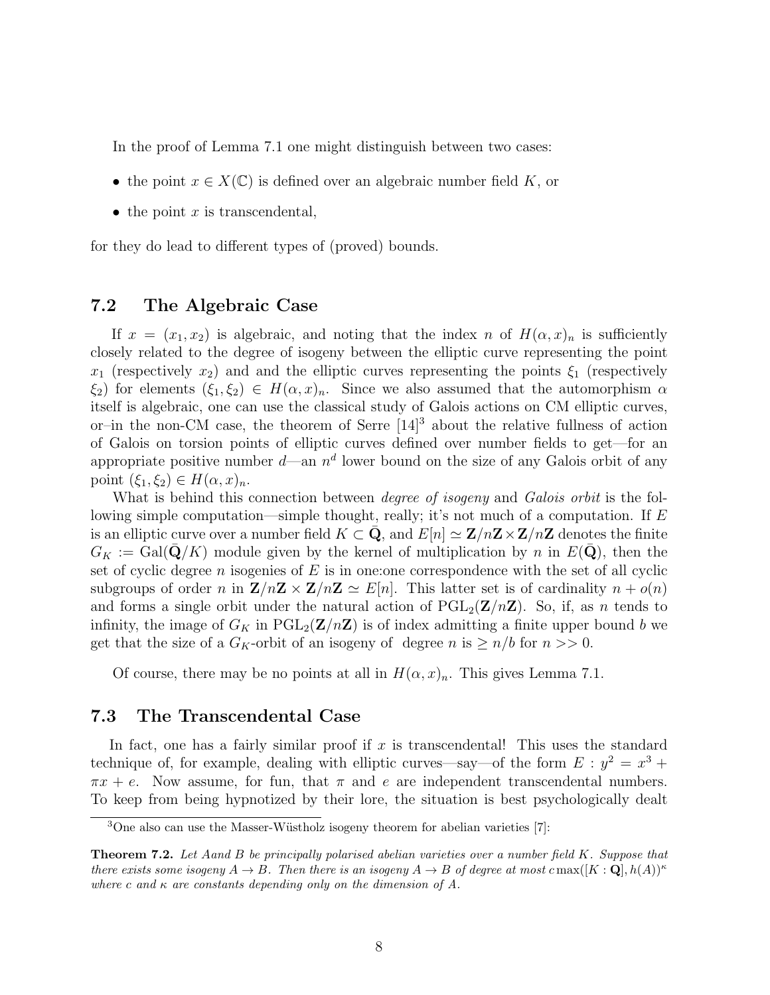In the proof of Lemma 7.1 one might distinguish between two cases:

- the point  $x \in X(\mathbb{C})$  is defined over an algebraic number field K, or
- the point  $x$  is transcendental,

for they do lead to different types of (proved) bounds.

#### 7.2 The Algebraic Case

If  $x = (x_1, x_2)$  is algebraic, and noting that the index n of  $H(\alpha, x)_n$  is sufficiently closely related to the degree of isogeny between the elliptic curve representing the point  $x_1$  (respectively  $x_2$ ) and and the elliptic curves representing the points  $\xi_1$  (respectively  $\xi_2$ ) for elements  $(\xi_1, \xi_2) \in H(\alpha, x)_n$ . Since we also assumed that the automorphism  $\alpha$ itself is algebraic, one can use the classical study of Galois actions on CM elliptic curves, or–in the non-CM case, the theorem of Serre  $[14]$ <sup>3</sup> about the relative fullness of action of Galois on torsion points of elliptic curves defined over number fields to get—for an appropriate positive number  $d$ —an  $n^d$  lower bound on the size of any Galois orbit of any point  $(\xi_1, \xi_2) \in H(\alpha, x)_n$ .

What is behind this connection between *degree of isogeny* and *Galois orbit* is the following simple computation—simple thought, really; it's not much of a computation. If E is an elliptic curve over a number field  $K \subset \mathbf{Q}$ , and  $E[n] \simeq \mathbf{Z}/n\mathbf{Z} \times \mathbf{Z}/n\mathbf{Z}$  denotes the finite  $G_K := \text{Gal}(\bar{\mathbf{Q}}/K)$  module given by the kernel of multiplication by n in  $E(\bar{\mathbf{Q}})$ , then the set of cyclic degree n isogenies of  $E$  is in one: one correspondence with the set of all cyclic subgroups of order n in  $\mathbf{Z}/n\mathbf{Z} \times \mathbf{Z}/n\mathbf{Z} \simeq E[n]$ . This latter set is of cardinality  $n + o(n)$ and forms a single orbit under the natural action of  $PGL_2(\mathbf{Z}/n\mathbf{Z})$ . So, if, as n tends to infinity, the image of  $G_K$  in  $PGL_2(\mathbf{Z}/n\mathbf{Z})$  is of index admitting a finite upper bound b we get that the size of a  $G_K$ -orbit of an isogeny of degree n is  $\geq n/b$  for  $n >> 0$ .

Of course, there may be no points at all in  $H(\alpha, x)_n$ . This gives Lemma 7.1.

#### 7.3 The Transcendental Case

In fact, one has a fairly similar proof if  $x$  is transcendental! This uses the standard technique of, for example, dealing with elliptic curves—say—of the form  $E: y^2 = x^3 +$  $\pi x + e$ . Now assume, for fun, that  $\pi$  and e are independent transcendental numbers. To keep from being hypnotized by their lore, the situation is best psychologically dealt

 $3$ One also can use the Masser-Wüstholz isogeny theorem for abelian varieties [7]:

**Theorem 7.2.** Let Aand B be principally polarised abelian varieties over a number field  $K$ . Suppose that there exists some isogeny  $A \to B$ . Then there is an isogeny  $A \to B$  of degree at most c max( $[K: \mathbf{Q}], h(A)$ )<sup> $\kappa$ </sup> where c and  $\kappa$  are constants depending only on the dimension of A.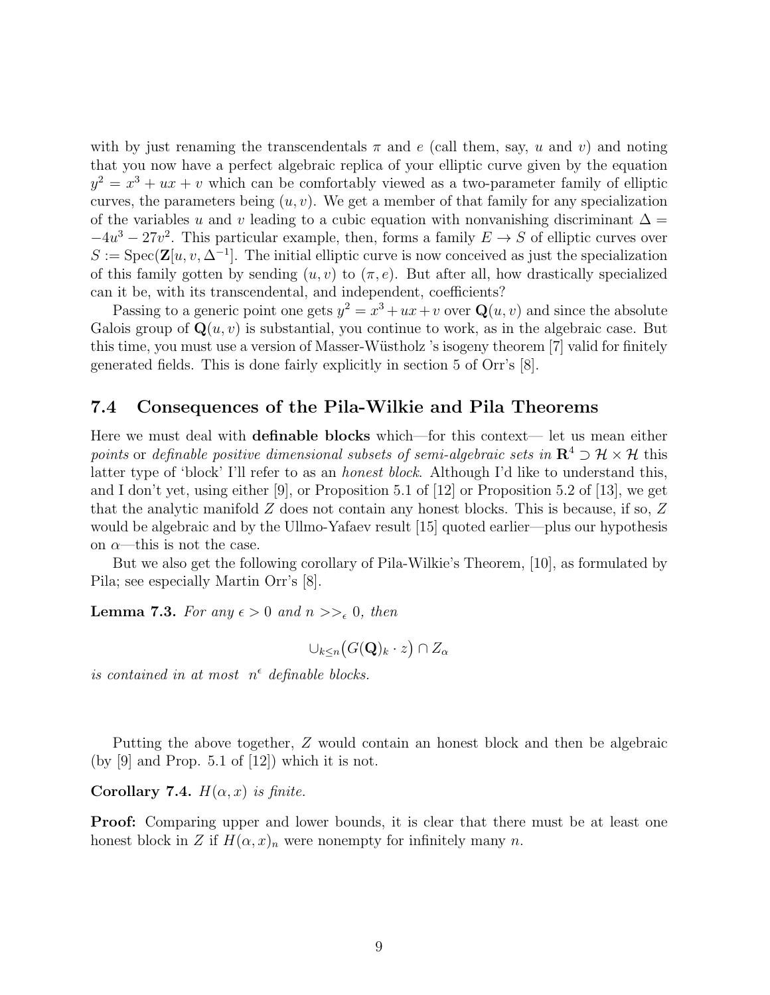with by just renaming the transcendentals  $\pi$  and e (call them, say, u and v) and noting that you now have a perfect algebraic replica of your elliptic curve given by the equation  $y^2 = x^3 + ux + v$  which can be comfortably viewed as a two-parameter family of elliptic curves, the parameters being  $(u, v)$ . We get a member of that family for any specialization of the variables u and v leading to a cubic equation with nonvanishing discriminant  $\Delta =$  $-4u^3 - 27v^2$ . This particular example, then, forms a family  $E \to S$  of elliptic curves over  $S := \text{Spec}(\mathbf{Z}[u, v, \Delta^{-1}])$ . The initial elliptic curve is now conceived as just the specialization of this family gotten by sending  $(u, v)$  to  $(\pi, e)$ . But after all, how drastically specialized can it be, with its transcendental, and independent, coefficients?

Passing to a generic point one gets  $y^2 = x^3 + ux + v$  over  $\mathbf{Q}(u, v)$  and since the absolute Galois group of  $\mathbf{Q}(u, v)$  is substantial, you continue to work, as in the algebraic case. But this time, you must use a version of Masser-Wüstholz 's isogeny theorem [7] valid for finitely generated fields. This is done fairly explicitly in section 5 of Orr's [8].

#### 7.4 Consequences of the Pila-Wilkie and Pila Theorems

Here we must deal with definable blocks which—for this context— let us mean either points or definable positive dimensional subsets of semi-algebraic sets in  $\mathbb{R}^4 \supset \mathcal{H} \times \mathcal{H}$  this latter type of 'block' I'll refer to as an honest block. Although I'd like to understand this, and I don't yet, using either [9], or Proposition 5.1 of [12] or Proposition 5.2 of [13], we get that the analytic manifold  $Z$  does not contain any honest blocks. This is because, if so,  $Z$ would be algebraic and by the Ullmo-Yafaev result [15] quoted earlier—plus our hypothesis on  $\alpha$ —this is not the case.

But we also get the following corollary of Pila-Wilkie's Theorem, [10], as formulated by Pila; see especially Martin Orr's [8].

**Lemma 7.3.** For any  $\epsilon > 0$  and  $n >>_{\epsilon} 0$ , then

$$
\cup_{k\leq n} \big(G(\mathbf{Q})_k \cdot z\big) \cap Z_\alpha
$$

is contained in at most  $n^{\epsilon}$  definable blocks.

Putting the above together, Z would contain an honest block and then be algebraic (by  $[9]$  and Prop. 5.1 of  $[12]$ ) which it is not.

Corollary 7.4.  $H(\alpha, x)$  is finite.

**Proof:** Comparing upper and lower bounds, it is clear that there must be at least one honest block in Z if  $H(\alpha, x)_n$  were nonempty for infinitely many n.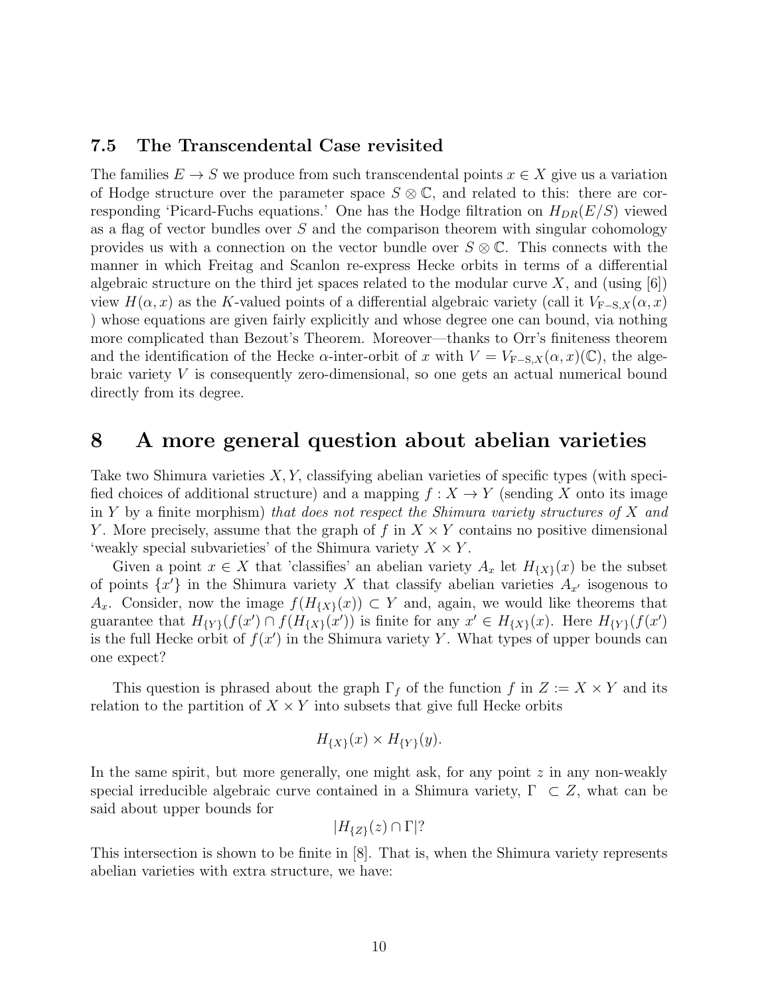#### 7.5 The Transcendental Case revisited

The families  $E \to S$  we produce from such transcendental points  $x \in X$  give us a variation of Hodge structure over the parameter space  $S \otimes \mathbb{C}$ , and related to this: there are corresponding 'Picard-Fuchs equations.' One has the Hodge filtration on  $H_{DR}(E/S)$  viewed as a flag of vector bundles over  $S$  and the comparison theorem with singular cohomology provides us with a connection on the vector bundle over  $S \otimes \mathbb{C}$ . This connects with the manner in which Freitag and Scanlon re-express Hecke orbits in terms of a differential algebraic structure on the third jet spaces related to the modular curve X, and (using  $|6|$ ) view  $H(\alpha, x)$  as the K-valued points of a differential algebraic variety (call it  $V_{\text{F-S},X}(\alpha, x)$ ) whose equations are given fairly explicitly and whose degree one can bound, via nothing more complicated than Bezout's Theorem. Moreover—thanks to Orr's finiteness theorem and the identification of the Hecke  $\alpha$ -inter-orbit of x with  $V = V_{F-S,X}(\alpha, x)(\mathbb{C})$ , the algebraic variety V is consequently zero-dimensional, so one gets an actual numerical bound directly from its degree.

### 8 A more general question about abelian varieties

Take two Shimura varieties  $X, Y$ , classifying abelian varieties of specific types (with specified choices of additional structure) and a mapping  $f : X \to Y$  (sending X onto its image in Y by a finite morphism) that does not respect the Shimura variety structures of X and Y. More precisely, assume that the graph of f in  $X \times Y$  contains no positive dimensional 'weakly special subvarieties' of the Shimura variety  $X \times Y$ .

Given a point  $x \in X$  that 'classifies' an abelian variety  $A_x$  let  $H_{\{X\}}(x)$  be the subset of points  $\{x'\}$  in the Shimura variety X that classify abelian varieties  $A_{x'}$  isogenous to  $A_x$ . Consider, now the image  $f(H_{\{X\}}(x)) \subset Y$  and, again, we would like theorems that guarantee that  $H_{\{Y\}}(f(x') \cap f(H_{\{X\}}(x')))$  is finite for any  $x' \in H_{\{X\}}(x)$ . Here  $H_{\{Y\}}(f(x'))$ is the full Hecke orbit of  $f(x')$  in the Shimura variety Y. What types of upper bounds can one expect?

This question is phrased about the graph  $\Gamma_f$  of the function f in  $Z := X \times Y$  and its relation to the partition of  $X \times Y$  into subsets that give full Hecke orbits

$$
H_{\{X\}}(x) \times H_{\{Y\}}(y).
$$

In the same spirit, but more generally, one might ask, for any point  $z$  in any non-weakly special irreducible algebraic curve contained in a Shimura variety,  $\Gamma \subset Z$ , what can be said about upper bounds for

$$
|H_{\{Z\}}(z) \cap \Gamma|?
$$

This intersection is shown to be finite in [8]. That is, when the Shimura variety represents abelian varieties with extra structure, we have: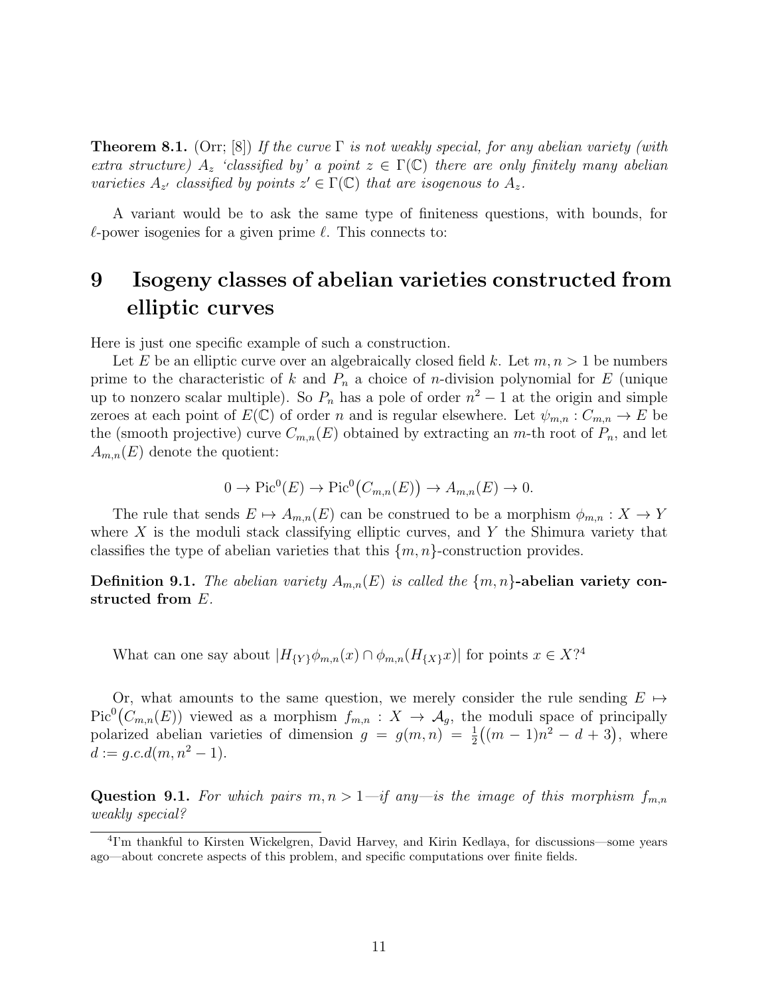**Theorem 8.1.** (Orr; [8]) If the curve  $\Gamma$  is not weakly special, for any abelian variety (with extra structure)  $A_z$  'classified by' a point  $z \in \Gamma(\mathbb{C})$  there are only finitely many abelian varieties  $A_{z'}$  classified by points  $z' \in \Gamma(\mathbb{C})$  that are isogenous to  $A_{z}$ .

A variant would be to ask the same type of finiteness questions, with bounds, for  $\ell$ -power isogenies for a given prime  $\ell$ . This connects to:

# 9 Isogeny classes of abelian varieties constructed from elliptic curves

Here is just one specific example of such a construction.

Let E be an elliptic curve over an algebraically closed field k. Let  $m, n > 1$  be numbers prime to the characteristic of k and  $P_n$  a choice of n-division polynomial for E (unique up to nonzero scalar multiple). So  $P_n$  has a pole of order  $n^2 - 1$  at the origin and simple zeroes at each point of  $E(\mathbb{C})$  of order n and is regular elsewhere. Let  $\psi_{m,n}: C_{m,n} \to E$  be the (smooth projective) curve  $C_{m,n}(E)$  obtained by extracting an m-th root of  $P_n$ , and let  $A_{m,n}(E)$  denote the quotient:

$$
0 \to Pic^0(E) \to Pic^0(C_{m,n}(E)) \to A_{m,n}(E) \to 0.
$$

The rule that sends  $E \mapsto A_{m,n}(E)$  can be construed to be a morphism  $\phi_{m,n} : X \to Y$ where  $X$  is the moduli stack classifying elliptic curves, and  $Y$  the Shimura variety that classifies the type of abelian varieties that this  $\{m, n\}$ -construction provides.

**Definition 9.1.** The abelian variety  $A_{m,n}(E)$  is called the  $\{m,n\}$ -abelian variety constructed from E.

What can one say about  $|H_{\{Y\}} \phi_{m,n}(x) \cap \phi_{m,n}(H_{\{X\}}x)|$  for points  $x \in X$ ?<sup>4</sup>

Or, what amounts to the same question, we merely consider the rule sending  $E \mapsto$  $Pic^{0}(C_{m,n}(E))$  viewed as a morphism  $f_{m,n}: X \to \mathcal{A}_{g}$ , the moduli space of principally polarized abelian varieties of dimension  $g = g(m, n) = \frac{1}{2}((m - 1)n^2 - d + 3)$ , where  $d := q.c.d(m, n^2 - 1).$ 

Question 9.1. For which pairs  $m, n > 1$  -if any is the image of this morphism  $f_{m,n}$ weakly special?

<sup>4</sup> I'm thankful to Kirsten Wickelgren, David Harvey, and Kirin Kedlaya, for discussions—some years ago—about concrete aspects of this problem, and specific computations over finite fields.